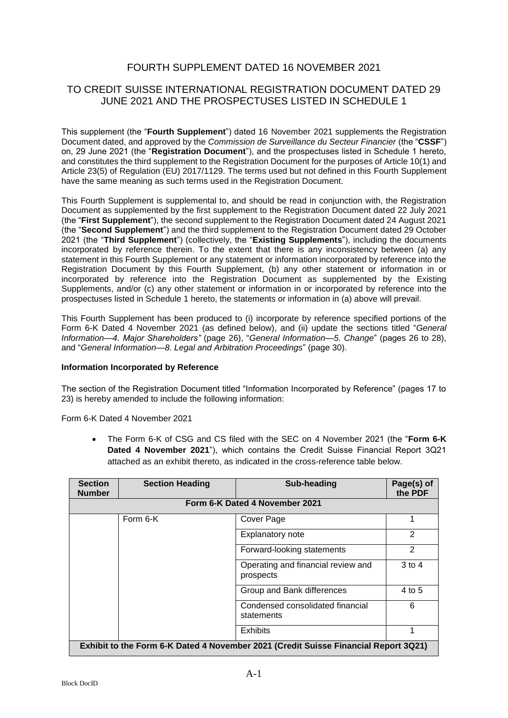# FOURTH SUPPLEMENT DATED 16 NOVEMBER 2021

# TO CREDIT SUISSE INTERNATIONAL REGISTRATION DOCUMENT DATED 29 JUNE 2021 AND THE PROSPECTUSES LISTED IN SCHEDULE 1

This supplement (the "**Fourth Supplement**") dated 16 November 2021 supplements the Registration Document dated, and approved by the *Commission de Surveillance du Secteur Financier* (the "**CSSF**") on, 29 June 2021 (the "**Registration Document**"), and the prospectuses listed in Schedule 1 hereto, and constitutes the third supplement to the Registration Document for the purposes of Article 10(1) and Article 23(5) of Regulation (EU) 2017/1129. The terms used but not defined in this Fourth Supplement have the same meaning as such terms used in the Registration Document.

This Fourth Supplement is supplemental to, and should be read in conjunction with, the Registration Document as supplemented by the first supplement to the Registration Document dated 22 July 2021 (the "**First Supplement**"), the second supplement to the Registration Document dated 24 August 2021 (the "**Second Supplement**") and the third supplement to the Registration Document dated 29 October 2021 (the "**Third Supplement**") (collectively, the "**Existing Supplements**"), including the documents incorporated by reference therein. To the extent that there is any inconsistency between (a) any statement in this Fourth Supplement or any statement or information incorporated by reference into the Registration Document by this Fourth Supplement, (b) any other statement or information in or incorporated by reference into the Registration Document as supplemented by the Existing Supplements, and/or (c) any other statement or information in or incorporated by reference into the prospectuses listed in Schedule 1 hereto, the statements or information in (a) above will prevail.

This Fourth Supplement has been produced to (i) incorporate by reference specified portions of the Form 6-K Dated 4 November 2021 (as defined below), and (ii) update the sections titled "*General Information—4. Major Shareholders"* (page 26), "*General Information—5. Change*" (pages 26 to 28), and "*General Information—8. Legal and Arbitration Proceedings*" (page 30).

### **Information Incorporated by Reference**

The section of the Registration Document titled "Information Incorporated by Reference" (pages 17 to 23) is hereby amended to include the following information:

Form 6-K Dated 4 November 2021

 The Form 6-K of CSG and CS filed with the SEC on 4 November 2021 (the "**Form 6-K Dated 4 November 2021**"), which contains the Credit Suisse Financial Report 3Q21 attached as an exhibit thereto, as indicated in the cross-reference table below.

| <b>Section</b><br><b>Number</b>                                                     | <b>Section Heading</b> | Sub-heading                                     | Page(s) of<br>the PDF |  |
|-------------------------------------------------------------------------------------|------------------------|-------------------------------------------------|-----------------------|--|
| Form 6-K Dated 4 November 2021                                                      |                        |                                                 |                       |  |
|                                                                                     | Form 6-K               | Cover Page                                      |                       |  |
|                                                                                     |                        | Explanatory note                                | 2                     |  |
|                                                                                     |                        | Forward-looking statements                      | $\mathcal{P}$         |  |
|                                                                                     |                        | Operating and financial review and<br>prospects | $3$ to $4$            |  |
|                                                                                     |                        | Group and Bank differences                      | 4 to 5                |  |
|                                                                                     |                        | Condensed consolidated financial<br>statements  | 6                     |  |
|                                                                                     |                        | <b>Exhibits</b>                                 |                       |  |
| Exhibit to the Form 6-K Dated 4 November 2021 (Credit Suisse Financial Report 3Q21) |                        |                                                 |                       |  |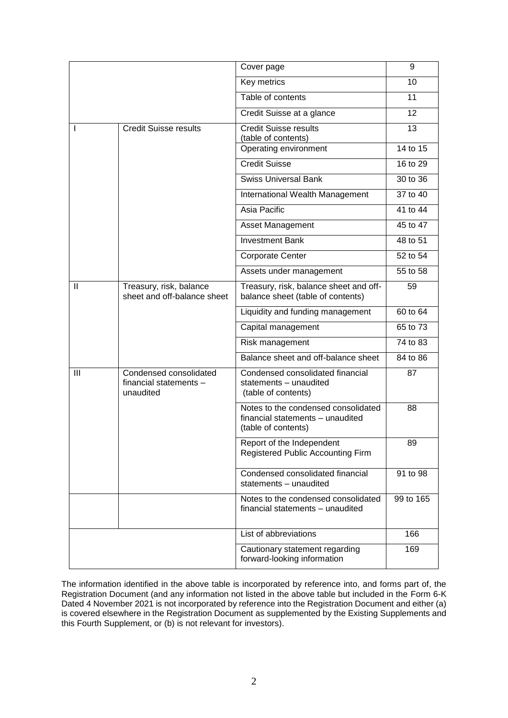|              |                                                               | Cover page                                                                                     | 9         |
|--------------|---------------------------------------------------------------|------------------------------------------------------------------------------------------------|-----------|
|              |                                                               | Key metrics                                                                                    | 10        |
|              |                                                               | Table of contents                                                                              | 11        |
|              |                                                               | Credit Suisse at a glance                                                                      | 12        |
| L            | <b>Credit Suisse results</b>                                  | <b>Credit Suisse results</b><br>(table of contents)                                            | 13        |
|              |                                                               | Operating environment                                                                          | 14 to 15  |
|              |                                                               | <b>Credit Suisse</b>                                                                           | 16 to 29  |
|              |                                                               | <b>Swiss Universal Bank</b>                                                                    | 30 to 36  |
|              |                                                               | International Wealth Management                                                                | 37 to 40  |
|              |                                                               | Asia Pacific                                                                                   | 41 to 44  |
|              |                                                               | Asset Management                                                                               | 45 to 47  |
|              |                                                               | <b>Investment Bank</b>                                                                         | 48 to 51  |
|              |                                                               | <b>Corporate Center</b>                                                                        | 52 to 54  |
|              |                                                               | Assets under management                                                                        | 55 to 58  |
| $\mathbf{I}$ | Treasury, risk, balance<br>sheet and off-balance sheet        | Treasury, risk, balance sheet and off-<br>balance sheet (table of contents)                    | 59        |
|              |                                                               | Liquidity and funding management                                                               | 60 to 64  |
|              |                                                               | Capital management                                                                             | 65 to 73  |
|              |                                                               | Risk management                                                                                | 74 to 83  |
|              |                                                               | Balance sheet and off-balance sheet                                                            | 84 to 86  |
| III          | Condensed consolidated<br>financial statements -<br>unaudited | Condensed consolidated financial<br>statements - unaudited<br>(table of contents)              | 87        |
|              |                                                               | Notes to the condensed consolidated<br>financial statements - unaudited<br>(table of contents) | 88        |
|              |                                                               | Report of the Independent<br>Registered Public Accounting Firm                                 | 89        |
|              |                                                               | Condensed consolidated financial<br>statements - unaudited                                     | 91 to 98  |
|              |                                                               | Notes to the condensed consolidated<br>financial statements - unaudited                        | 99 to 165 |
|              |                                                               | List of abbreviations                                                                          | 166       |
|              |                                                               | Cautionary statement regarding<br>forward-looking information                                  | 169       |

The information identified in the above table is incorporated by reference into, and forms part of, the Registration Document (and any information not listed in the above table but included in the Form 6-K Dated 4 November 2021 is not incorporated by reference into the Registration Document and either (a) is covered elsewhere in the Registration Document as supplemented by the Existing Supplements and this Fourth Supplement, or (b) is not relevant for investors).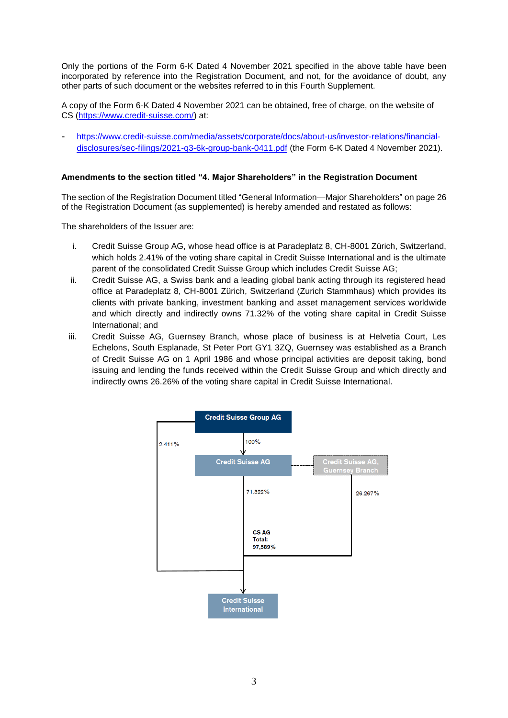Only the portions of the Form 6-K Dated 4 November 2021 specified in the above table have been incorporated by reference into the Registration Document, and not, for the avoidance of doubt, any other parts of such document or the websites referred to in this Fourth Supplement.

A copy of the Form 6-K Dated 4 November 2021 can be obtained, free of charge, on the website of CS [\(https://www.credit-suisse.com/\)](https://www.credit-suisse.com/) at:

- [https://www.credit-suisse.com/media/assets/corporate/docs/about-us/investor-relations/financial](https://www.credit-suisse.com/media/assets/corporate/docs/about-us/investor-relations/financial-disclosures/sec-filings/2021-q3-6k-group-bank-0411.pdf)[disclosures/sec-filings/2021-q3-6k-group-bank-0411.pdf](https://www.credit-suisse.com/media/assets/corporate/docs/about-us/investor-relations/financial-disclosures/sec-filings/2021-q3-6k-group-bank-0411.pdf) (the Form 6-K Dated 4 November 2021).

## **Amendments to the section titled "4. Major Shareholders" in the Registration Document**

The section of the Registration Document titled "General Information—Major Shareholders" on page 26 of the Registration Document (as supplemented) is hereby amended and restated as follows:

The shareholders of the Issuer are:

- i. Credit Suisse Group AG, whose head office is at Paradeplatz 8, CH-8001 Zürich, Switzerland, which holds 2.41% of the voting share capital in Credit Suisse International and is the ultimate parent of the consolidated Credit Suisse Group which includes Credit Suisse AG;
- ii. Credit Suisse AG, a Swiss bank and a leading global bank acting through its registered head office at Paradeplatz 8, CH-8001 Zürich, Switzerland (Zurich Stammhaus) which provides its clients with private banking, investment banking and asset management services worldwide and which directly and indirectly owns 71.32% of the voting share capital in Credit Suisse International; and
- iii. Credit Suisse AG, Guernsey Branch, whose place of business is at Helvetia Court, Les Echelons, South Esplanade, St Peter Port GY1 3ZQ, Guernsey was established as a Branch of Credit Suisse AG on 1 April 1986 and whose principal activities are deposit taking, bond issuing and lending the funds received within the Credit Suisse Group and which directly and indirectly owns 26.26% of the voting share capital in Credit Suisse International.

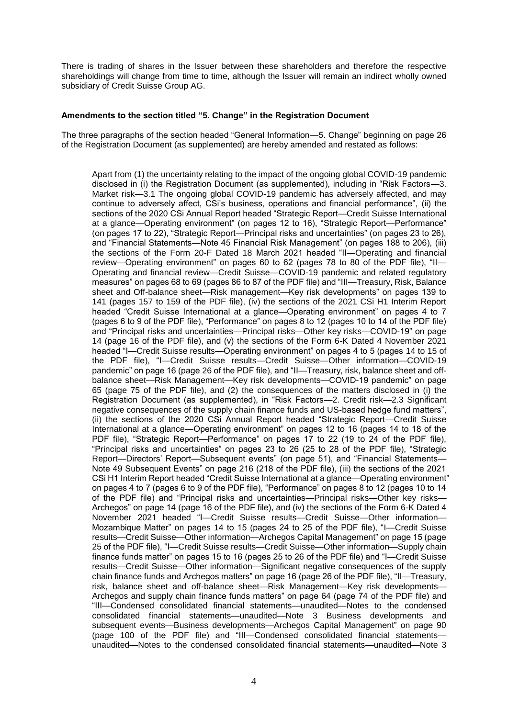There is trading of shares in the Issuer between these shareholders and therefore the respective shareholdings will change from time to time, although the Issuer will remain an indirect wholly owned subsidiary of Credit Suisse Group AG.

### **Amendments to the section titled "5. Change" in the Registration Document**

The three paragraphs of the section headed "General Information—5. Change" beginning on page 26 of the Registration Document (as supplemented) are hereby amended and restated as follows:

Apart from (1) the uncertainty relating to the impact of the ongoing global COVID-19 pandemic disclosed in (i) the Registration Document (as supplemented), including in "Risk Factors—3. Market risk—3.1 The ongoing global COVID-19 pandemic has adversely affected, and may continue to adversely affect, CSi's business, operations and financial performance", (ii) the sections of the 2020 CSi Annual Report headed "Strategic Report—Credit Suisse International at a glance—Operating environment" (on pages 12 to 16), "Strategic Report—Performance" (on pages 17 to 22), "Strategic Report—Principal risks and uncertainties" (on pages 23 to 26), and "Financial Statements—Note 45 Financial Risk Management" (on pages 188 to 206), (iii) the sections of the Form 20-F Dated 18 March 2021 headed "II—Operating and financial review—Operating environment" on pages 60 to 62 (pages 78 to 80 of the PDF file), "II— Operating and financial review—Credit Suisse—COVID-19 pandemic and related regulatory measures" on pages 68 to 69 (pages 86 to 87 of the PDF file) and "III—Treasury, Risk, Balance sheet and Off-balance sheet—Risk management—Key risk developments" on pages 139 to 141 (pages 157 to 159 of the PDF file), (iv) the sections of the 2021 CSi H1 Interim Report headed "Credit Suisse International at a glance—Operating environment" on pages 4 to 7 (pages 6 to 9 of the PDF file), "Performance" on pages 8 to 12 (pages 10 to 14 of the PDF file) and "Principal risks and uncertainties—Principal risks—Other key risks—COVID-19" on page 14 (page 16 of the PDF file), and (v) the sections of the Form 6-K Dated 4 November 2021 headed "I—Credit Suisse results—Operating environment" on pages 4 to 5 (pages 14 to 15 of the PDF file), "I—Credit Suisse results—Credit Suisse—Other information—COVID-19 pandemic" on page 16 (page 26 of the PDF file), and "II—Treasury, risk, balance sheet and offbalance sheet—Risk Management—Key risk developments—COVID-19 pandemic" on page 65 (page 75 of the PDF file), and (2) the consequences of the matters disclosed in (i) the Registration Document (as supplemented), in "Risk Factors—2. Credit risk—2.3 Significant negative consequences of the supply chain finance funds and US-based hedge fund matters", (ii) the sections of the 2020 CSi Annual Report headed "Strategic Report—Credit Suisse International at a glance—Operating environment" on pages 12 to 16 (pages 14 to 18 of the PDF file), "Strategic Report—Performance" on pages 17 to 22 (19 to 24 of the PDF file), "Principal risks and uncertainties" on pages 23 to 26 (25 to 28 of the PDF file), "Strategic Report—Directors' Report—Subsequent events" (on page 51), and "Financial Statements— Note 49 Subsequent Events" on page 216 (218 of the PDF file), (iii) the sections of the 2021 CSi H1 Interim Report headed "Credit Suisse International at a glance—Operating environment" on pages 4 to 7 (pages 6 to 9 of the PDF file), "Performance" on pages 8 to 12 (pages 10 to 14 of the PDF file) and "Principal risks and uncertainties—Principal risks—Other key risks— Archegos" on page 14 (page 16 of the PDF file), and (iv) the sections of the Form 6-K Dated 4 November 2021 headed "I—Credit Suisse results—Credit Suisse—Other information— Mozambique Matter" on pages 14 to 15 (pages 24 to 25 of the PDF file), "I—Credit Suisse results—Credit Suisse—Other information—Archegos Capital Management" on page 15 (page 25 of the PDF file), "I—Credit Suisse results—Credit Suisse—Other information—Supply chain finance funds matter" on pages 15 to 16 (pages 25 to 26 of the PDF file) and "I—Credit Suisse results—Credit Suisse—Other information—Significant negative consequences of the supply chain finance funds and Archegos matters" on page 16 (page 26 of the PDF file), "II—Treasury, risk, balance sheet and off-balance sheet—Risk Management—Key risk developments— Archegos and supply chain finance funds matters" on page 64 (page 74 of the PDF file) and "III—Condensed consolidated financial statements*—*unaudited—Notes to the condensed consolidated financial statements*—*unaudited—Note 3 Business developments and subsequent events—Business developments—Archegos Capital Management" on page 90 (page 100 of the PDF file) and "III—Condensed consolidated financial statements unaudited—Notes to the condensed consolidated financial statements*—*unaudited—Note 3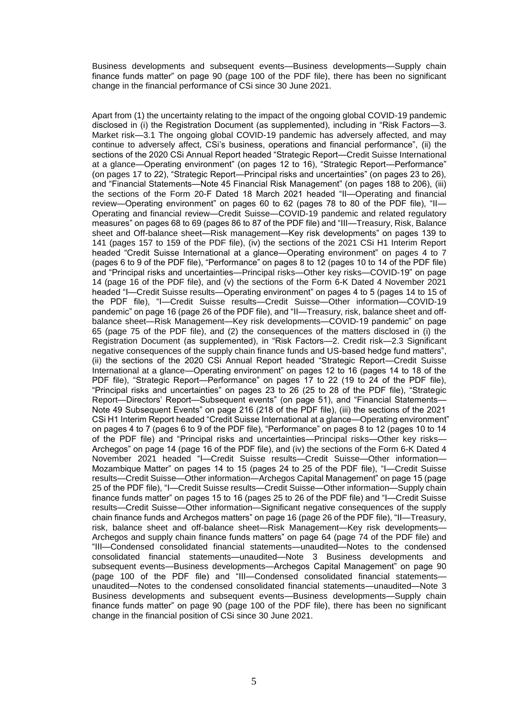Business developments and subsequent events—Business developments—Supply chain finance funds matter" on page 90 (page 100 of the PDF file), there has been no significant change in the financial performance of CSi since 30 June 2021.

Apart from (1) the uncertainty relating to the impact of the ongoing global COVID-19 pandemic disclosed in (i) the Registration Document (as supplemented), including in "Risk Factors—3. Market risk—3.1 The ongoing global COVID-19 pandemic has adversely affected, and may continue to adversely affect, CSi's business, operations and financial performance", (ii) the sections of the 2020 CSi Annual Report headed "Strategic Report—Credit Suisse International at a glance—Operating environment" (on pages 12 to 16), "Strategic Report—Performance" (on pages 17 to 22), "Strategic Report—Principal risks and uncertainties" (on pages 23 to 26), and "Financial Statements—Note 45 Financial Risk Management" (on pages 188 to 206), (iii) the sections of the Form 20-F Dated 18 March 2021 headed "II—Operating and financial review—Operating environment" on pages 60 to 62 (pages 78 to 80 of the PDF file), "II— Operating and financial review—Credit Suisse—COVID-19 pandemic and related regulatory measures" on pages 68 to 69 (pages 86 to 87 of the PDF file) and "III—Treasury, Risk, Balance sheet and Off-balance sheet—Risk management—Key risk developments" on pages 139 to 141 (pages 157 to 159 of the PDF file), (iv) the sections of the 2021 CSi H1 Interim Report headed "Credit Suisse International at a glance—Operating environment" on pages 4 to 7 (pages 6 to 9 of the PDF file), "Performance" on pages 8 to 12 (pages 10 to 14 of the PDF file) and "Principal risks and uncertainties—Principal risks—Other key risks—COVID-19" on page 14 (page 16 of the PDF file), and (v) the sections of the Form 6-K Dated 4 November 2021 headed "I—Credit Suisse results—Operating environment" on pages 4 to 5 (pages 14 to 15 of the PDF file), "I—Credit Suisse results—Credit Suisse—Other information—COVID-19 pandemic" on page 16 (page 26 of the PDF file), and "II—Treasury, risk, balance sheet and offbalance sheet—Risk Management—Key risk developments—COVID-19 pandemic" on page 65 (page 75 of the PDF file), and (2) the consequences of the matters disclosed in (i) the Registration Document (as supplemented), in "Risk Factors—2. Credit risk—2.3 Significant negative consequences of the supply chain finance funds and US-based hedge fund matters", (ii) the sections of the 2020 CSi Annual Report headed "Strategic Report—Credit Suisse International at a glance—Operating environment" on pages 12 to 16 (pages 14 to 18 of the PDF file), "Strategic Report—Performance" on pages 17 to 22 (19 to 24 of the PDF file), "Principal risks and uncertainties" on pages 23 to 26 (25 to 28 of the PDF file), "Strategic Report—Directors' Report—Subsequent events" (on page 51), and "Financial Statements— Note 49 Subsequent Events" on page 216 (218 of the PDF file), (iii) the sections of the 2021 CSi H1 Interim Report headed "Credit Suisse International at a glance—Operating environment" on pages 4 to 7 (pages 6 to 9 of the PDF file), "Performance" on pages 8 to 12 (pages 10 to 14 of the PDF file) and "Principal risks and uncertainties—Principal risks—Other key risks— Archegos" on page 14 (page 16 of the PDF file), and (iv) the sections of the Form 6-K Dated 4 November 2021 headed "I—Credit Suisse results—Credit Suisse—Other information— Mozambique Matter" on pages 14 to 15 (pages 24 to 25 of the PDF file), "I—Credit Suisse results—Credit Suisse—Other information—Archegos Capital Management" on page 15 (page 25 of the PDF file), "I—Credit Suisse results—Credit Suisse—Other information—Supply chain finance funds matter" on pages 15 to 16 (pages 25 to 26 of the PDF file) and "I—Credit Suisse results—Credit Suisse—Other information—Significant negative consequences of the supply chain finance funds and Archegos matters" on page 16 (page 26 of the PDF file), "II—Treasury, risk, balance sheet and off-balance sheet—Risk Management—Key risk developments— Archegos and supply chain finance funds matters" on page 64 (page 74 of the PDF file) and "III—Condensed consolidated financial statements*—*unaudited—Notes to the condensed consolidated financial statements*—*unaudited—Note 3 Business developments and subsequent events—Business developments—Archegos Capital Management" on page 90 (page 100 of the PDF file) and "III—Condensed consolidated financial statements unaudited—Notes to the condensed consolidated financial statements*—*unaudited—Note 3 Business developments and subsequent events—Business developments—Supply chain finance funds matter" on page 90 (page 100 of the PDF file), there has been no significant change in the financial position of CSi since 30 June 2021.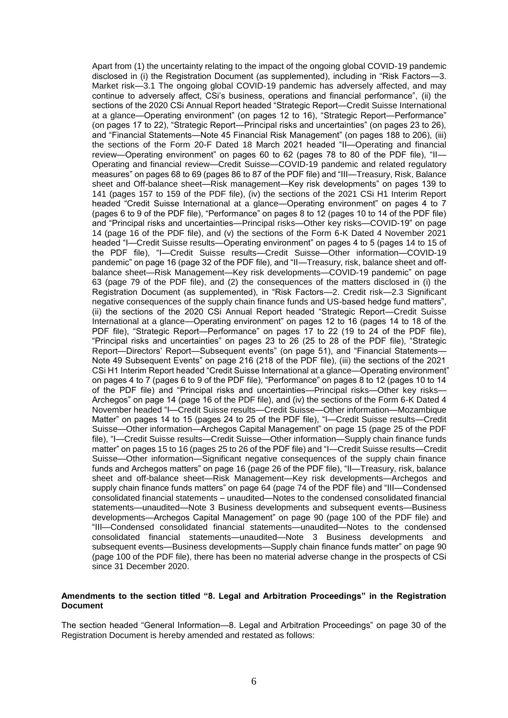Apart from (1) the uncertainty relating to the impact of the ongoing global COVID-19 pandemic disclosed in (i) the Registration Document (as supplemented), including in "Risk Factors—3. Market risk—3.1 The ongoing global COVID-19 pandemic has adversely affected, and may continue to adversely affect, CSi's business, operations and financial performance", (ii) the sections of the 2020 CSi Annual Report headed "Strategic Report—Credit Suisse International at a glance—Operating environment" (on pages 12 to 16), "Strategic Report—Performance" (on pages 17 to 22), "Strategic Report—Principal risks and uncertainties" (on pages 23 to 26), and "Financial Statements—Note 45 Financial Risk Management" (on pages 188 to 206), (iii) the sections of the Form 20-F Dated 18 March 2021 headed "II—Operating and financial review—Operating environment" on pages 60 to 62 (pages 78 to 80 of the PDF file), "II— Operating and financial review—Credit Suisse—COVID-19 pandemic and related regulatory measures" on pages 68 to 69 (pages 86 to 87 of the PDF file) and "III—Treasury, Risk, Balance sheet and Off-balance sheet—Risk management—Key risk developments" on pages 139 to 141 (pages 157 to 159 of the PDF file), (iv) the sections of the 2021 CSi H1 Interim Report headed "Credit Suisse International at a glance—Operating environment" on pages 4 to 7 (pages 6 to 9 of the PDF file), "Performance" on pages 8 to 12 (pages 10 to 14 of the PDF file) and "Principal risks and uncertainties—Principal risks—Other key risks—COVID-19" on page 14 (page 16 of the PDF file), and (v) the sections of the Form 6-K Dated 4 November 2021 headed "I—Credit Suisse results—Operating environment" on pages 4 to 5 (pages 14 to 15 of the PDF file), "I—Credit Suisse results—Credit Suisse—Other information—COVID-19 pandemic" on page 16 (page 32 of the PDF file), and "II—Treasury, risk, balance sheet and offbalance sheet—Risk Management—Key risk developments—COVID-19 pandemic" on page 63 (page 79 of the PDF file), and (2) the consequences of the matters disclosed in (i) the Registration Document (as supplemented), in "Risk Factors—2. Credit risk—2.3 Significant negative consequences of the supply chain finance funds and US-based hedge fund matters", (ii) the sections of the 2020 CSi Annual Report headed "Strategic Report—Credit Suisse International at a glance—Operating environment" on pages 12 to 16 (pages 14 to 18 of the PDF file), "Strategic Report—Performance" on pages 17 to 22 (19 to 24 of the PDF file), "Principal risks and uncertainties" on pages 23 to 26 (25 to 28 of the PDF file), "Strategic Report—Directors' Report—Subsequent events" (on page 51), and "Financial Statements— Note 49 Subsequent Events" on page 216 (218 of the PDF file), (iii) the sections of the 2021 CSi H1 Interim Report headed "Credit Suisse International at a glance—Operating environment" on pages 4 to 7 (pages 6 to 9 of the PDF file), "Performance" on pages 8 to 12 (pages 10 to 14 of the PDF file) and "Principal risks and uncertainties—Principal risks—Other key risks— Archegos" on page 14 (page 16 of the PDF file), and (iv) the sections of the Form 6-K Dated 4 November headed "I—Credit Suisse results—Credit Suisse—Other information—Mozambique Matter" on pages 14 to 15 (pages 24 to 25 of the PDF file), "I—Credit Suisse results—Credit Suisse—Other information—Archegos Capital Management" on page 15 (page 25 of the PDF file), "I—Credit Suisse results—Credit Suisse—Other information—Supply chain finance funds matter" on pages 15 to 16 (pages 25 to 26 of the PDF file) and "I—Credit Suisse results—Credit Suisse—Other information—Significant negative consequences of the supply chain finance funds and Archegos matters" on page 16 (page 26 of the PDF file), "II—Treasury, risk, balance sheet and off-balance sheet—Risk Management—Key risk developments—Archegos and supply chain finance funds matters" on page 64 (page 74 of the PDF file) and "III—Condensed consolidated financial statements – unaudited—Notes to the condensed consolidated financial statements*—*unaudited—Note 3 Business developments and subsequent events—Business developments—Archegos Capital Management" on page 90 (page 100 of the PDF file) and "III—Condensed consolidated financial statements*—*unaudited—Notes to the condensed consolidated financial statements*—*unaudited—Note 3 Business developments and subsequent events—Business developments—Supply chain finance funds matter" on page 90 (page 100 of the PDF file), there has been no material adverse change in the prospects of CSi since 31 December 2020.

### **Amendments to the section titled "8. Legal and Arbitration Proceedings" in the Registration Document**

The section headed "General Information—8. Legal and Arbitration Proceedings" on page 30 of the Registration Document is hereby amended and restated as follows: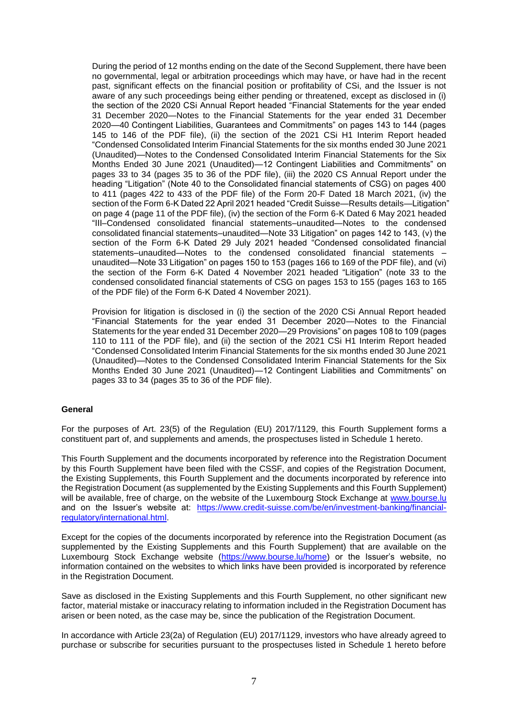During the period of 12 months ending on the date of the Second Supplement, there have been no governmental, legal or arbitration proceedings which may have, or have had in the recent past, significant effects on the financial position or profitability of CSi, and the Issuer is not aware of any such proceedings being either pending or threatened, except as disclosed in (i) the section of the 2020 CSi Annual Report headed "Financial Statements for the year ended 31 December 2020—Notes to the Financial Statements for the year ended 31 December 2020—40 Contingent Liabilities, Guarantees and Commitments" on pages 143 to 144 (pages 145 to 146 of the PDF file), (ii) the section of the 2021 CSi H1 Interim Report headed "Condensed Consolidated Interim Financial Statements for the six months ended 30 June 2021 (Unaudited)—Notes to the Condensed Consolidated Interim Financial Statements for the Six Months Ended 30 June 2021 (Unaudited)—12 Contingent Liabilities and Commitments" on pages 33 to 34 (pages 35 to 36 of the PDF file), (iii) the 2020 CS Annual Report under the heading "Litigation" (Note 40 to the Consolidated financial statements of CSG) on pages 400 to 411 (pages 422 to 433 of the PDF file) of the Form 20-F Dated 18 March 2021, (iv) the section of the Form 6-K Dated 22 April 2021 headed "Credit Suisse—Results details—Litigation" on page 4 (page 11 of the PDF file), (iv) the section of the Form 6-K Dated 6 May 2021 headed "III–Condensed consolidated financial statements–unaudited—Notes to the condensed consolidated financial statements–unaudited—Note 33 Litigation" on pages 142 to 143, (v) the section of the Form 6-K Dated 29 July 2021 headed "Condensed consolidated financial statements–unaudited–Notes to the condensed consolidated financial statements – unaudited—Note 33 Litigation" on pages 150 to 153 (pages 166 to 169 of the PDF file), and (vi) the section of the Form 6-K Dated 4 November 2021 headed "Litigation" (note 33 to the condensed consolidated financial statements of CSG on pages 153 to 155 (pages 163 to 165 of the PDF file) of the Form 6-K Dated 4 November 2021).

Provision for litigation is disclosed in (i) the section of the 2020 CSi Annual Report headed "Financial Statements for the year ended 31 December 2020—Notes to the Financial Statements for the year ended 31 December 2020—29 Provisions" on pages 108 to 109 (pages 110 to 111 of the PDF file), and (ii) the section of the 2021 CSi H1 Interim Report headed "Condensed Consolidated Interim Financial Statements for the six months ended 30 June 2021 (Unaudited)—Notes to the Condensed Consolidated Interim Financial Statements for the Six Months Ended 30 June 2021 (Unaudited)—12 Contingent Liabilities and Commitments" on pages 33 to 34 (pages 35 to 36 of the PDF file).

### **General**

For the purposes of Art. 23(5) of the Regulation (EU) 2017/1129, this Fourth Supplement forms a constituent part of, and supplements and amends, the prospectuses listed in Schedule 1 hereto.

This Fourth Supplement and the documents incorporated by reference into the Registration Document by this Fourth Supplement have been filed with the CSSF, and copies of the Registration Document, the Existing Supplements, this Fourth Supplement and the documents incorporated by reference into the Registration Document (as supplemented by the Existing Supplements and this Fourth Supplement) will be available, free of charge, on the website of the Luxembourg Stock Exchange at [www.bourse.lu](http://www.bourse.lu/) and on the Issuer's website at: [https://www.credit-suisse.com/be/en/investment-banking/financial](https://www.credit-suisse.com/be/en/investment-banking/financial-regulatory/international.html)[regulatory/international.html.](https://www.credit-suisse.com/be/en/investment-banking/financial-regulatory/international.html)

Except for the copies of the documents incorporated by reference into the Registration Document (as supplemented by the Existing Supplements and this Fourth Supplement) that are available on the Luxembourg Stock Exchange website [\(https://www.bourse.lu/home\)](https://www.bourse.lu/home) or the Issuer's website, no information contained on the websites to which links have been provided is incorporated by reference in the Registration Document.

Save as disclosed in the Existing Supplements and this Fourth Supplement, no other significant new factor, material mistake or inaccuracy relating to information included in the Registration Document has arisen or been noted, as the case may be, since the publication of the Registration Document.

In accordance with Article 23(2a) of Regulation (EU) 2017/1129, investors who have already agreed to purchase or subscribe for securities pursuant to the prospectuses listed in Schedule 1 hereto before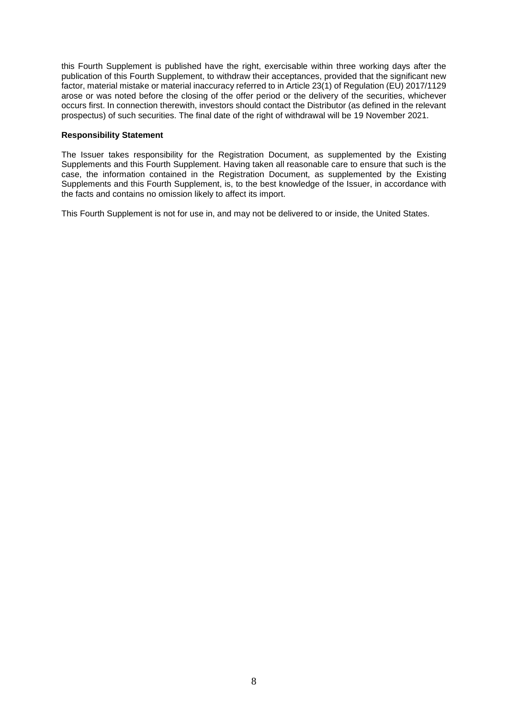this Fourth Supplement is published have the right, exercisable within three working days after the publication of this Fourth Supplement, to withdraw their acceptances, provided that the significant new factor, material mistake or material inaccuracy referred to in Article 23(1) of Regulation (EU) 2017/1129 arose or was noted before the closing of the offer period or the delivery of the securities, whichever occurs first. In connection therewith, investors should contact the Distributor (as defined in the relevant prospectus) of such securities. The final date of the right of withdrawal will be 19 November 2021.

## **Responsibility Statement**

The Issuer takes responsibility for the Registration Document, as supplemented by the Existing Supplements and this Fourth Supplement. Having taken all reasonable care to ensure that such is the case, the information contained in the Registration Document, as supplemented by the Existing Supplements and this Fourth Supplement, is, to the best knowledge of the Issuer, in accordance with the facts and contains no omission likely to affect its import.

This Fourth Supplement is not for use in, and may not be delivered to or inside, the United States.